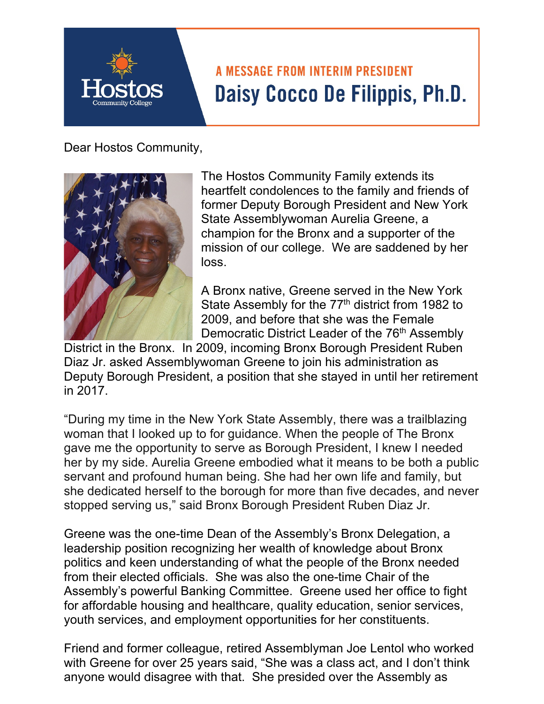## **A MESSAGE FROM INTERIM PRESIDENT** Daisy Cocco De Filippis, Ph.D.

## Dear Hostos Community,



The Hostos Community Family extends its heartfelt condolences to the family and friends of former Deputy Borough President and New York State Assemblywoman Aurelia Greene, a champion for the Bronx and a supporter of the mission of our college. We are saddened by her loss.

A Bronx native, Greene served in the New York State Assembly for the  $77<sup>th</sup>$  district from 1982 to 2009, and before that she was the Female Democratic District Leader of the 76<sup>th</sup> Assembly

District in the Bronx. In 2009, incoming Bronx Borough President Ruben Diaz Jr. asked Assemblywoman Greene to join his administration as Deputy Borough President, a position that she stayed in until her retirement in 2017.

stopped serving us," said Bronx Borough President Ruben Diaz Jr. "During my time in the New York State Assembly, there was a trailblazing woman that I looked up to for guidance. When the people of The Bronx gave me the opportunity to serve as Borough President, I knew I needed her by my side. Aurelia Greene embodied what it means to be both a public servant and profound human being. She had her own life and family, but she dedicated herself to the borough for more than five decades, and never

Greene was the one-time Dean of the Assembly's Bronx Delegation, a leadership position recognizing her wealth of knowledge about Bronx politics and keen understanding of what the people of the Bronx needed from their elected officials. She was also the one-time Chair of the Assembly's powerful Banking Committee. Greene used her office to fight for affordable housing and healthcare, quality education, senior services, youth services, and employment opportunities for her constituents.

Friend and former colleague, retired Assemblyman Joe Lentol who worked with Greene for over 25 years said, "She was a class act, and I don't think anyone would disagree with that. She presided over the Assembly as